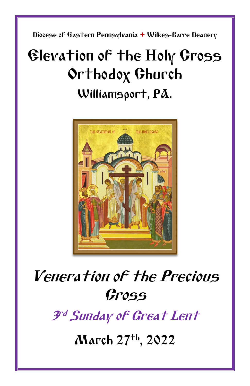Diocese of Eastern Pennsylvania **+** Wilkes-Barre Deanery

# Elevation of the Holy Cross Orthodox Church Williamsport, PA.



# Veneration of the Precious Cross

3 rd Sunday of Great Lent

March 27 th, 2022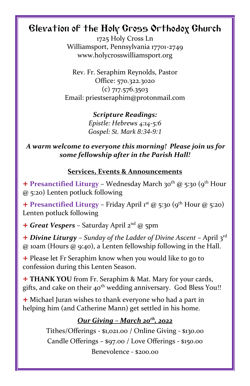## Elevation of the Holy Cross Orthodox Church

1725 Holy Cross Ln Williamsport, Pennsylvania 17701-2749 www.holycrosswilliamsport.org

Rev. Fr. Seraphim Reynolds, Pastor Office: 570.322.3020 (c) 717.576.3503 Email: priestseraphim@protonmail.com

> *Scripture Readings: Epistle: Hebrews 4:14-5:6 Gospel: St. Mark 8:34-9:1*

*A warm welcome to everyone this morning! Please join us for some fellowship after in the Parish Hall!*

#### **Services, Events & Announcements**

+ **Presanctified Liturgy** – Wednesday March 30th @ 5:30 (9th Hour @ 5:20) Lenten potluck following

 $+$  **Presanctified Liturgy** – Friday April 1<sup>st</sup> @ 5:30 (9<sup>th</sup> Hour @ 5:20) Lenten potluck following

+ *Great Vespers* – Saturday April 2nd @ 5pm

+ *Divine Liturgy* – *Sunday of the Ladder of Divine Ascent –* April 3rd @ 10am (Hours @ 9:40), a Lenten fellowship following in the Hall.

+ Please let Fr Seraphim know when you would like to go to confession during this Lenten Season.

+ **THANK YOU** from Fr. Seraphim & Mat. Mary for your cards, gifts, and cake on their 40<sup>th</sup> wedding anniversary. God Bless You!!

+ Michael Juran wishes to thank everyone who had a part in helping him (and Catherine Mann) get settled in his home.

### *Our Giving – March 20th, 2022*

Tithes/Offerings - \$1,021.00 / Online Giving - \$130.00 Candle Offerings – \$97.00 / Love Offerings - \$150.00 Benevolence - \$200.00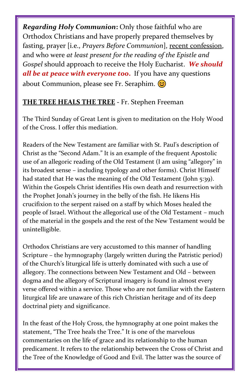*Regarding Holy Communion***:** Only those faithful who are Orthodox Christians and have properly prepared themselves by fasting, prayer [i.e., *Prayers Before Communion*], recent confession, and who were *at least present for the reading of the Epistle and Gospel* should approach to receive the Holy Eucharist. *We should all be at peace with everyone too***.** If you have any questions about Communion, please see Fr. Seraphim.  $\circled{c}$ 

### **THE TREE HEALS THE TREE -** Fr. Stephen Freeman

The Third Sunday of Great Lent is given to meditation on the Holy Wood of the Cross. I offer this mediation.

Readers of the New Testament are familiar with St. Paul's description of Christ as the "Second Adam." It is an example of the frequent Apostolic use of an allegoric reading of the Old Testament (I am using "allegory" in its broadest sense – including typology and other forms). Christ Himself had stated that He was the meaning of the Old Testament (John 5:39). Within the Gospels Christ identifies His own death and resurrection with the Prophet Jonah's journey in the belly of the fish. He likens His crucifixion to the serpent raised on a staff by which Moses healed the people of Israel. Without the allegorical use of the Old Testament – much of the material in the gospels and the rest of the New Testament would be unintelligible.

Orthodox Christians are very accustomed to this manner of handling Scripture – the hymnography (largely written during the Patristic period) of the Church's liturgical life is utterly dominated with such a use of allegory. The connections between New Testament and Old – between dogma and the allegory of Scriptural imagery is found in almost every verse offered within a service. Those who are not familiar with the Eastern liturgical life are unaware of this rich Christian heritage and of its deep doctrinal piety and significance.

In the feast of the Holy Cross, the hymnography at one point makes the statement, "The Tree heals the Tree." It is one of the marvelous commentaries on the life of grace and its relationship to the human predicament. It refers to the relationship between the Cross of Christ and the Tree of the Knowledge of Good and Evil. The latter was the source of